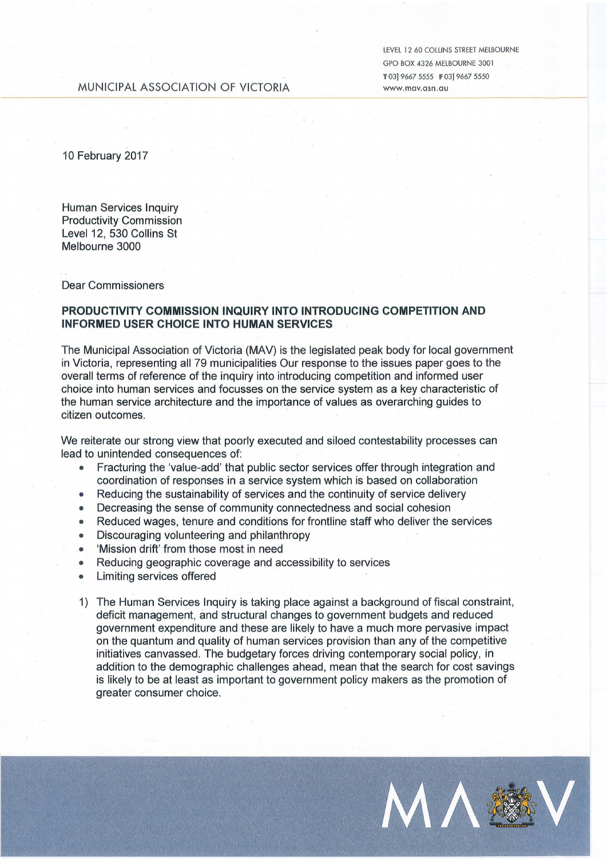LEVEL 12 60 COLLINS STREET MElBOURNE GPO BOX 4326 MELBOURNE 3001 T 03] 9667 5555 **F** 03] 9667 5550 www.mav.asn.au

## MUNICIPAL ASSOCIATION OF VICTORIA

10 February 2017

Human Services Inquiry Productivity Commission Level 12, 530 Collins St Melbourne 3000

Dear Commissioners

## **PRODUCTIVITY COMMISSION INQUIRY INTO INTRODUCING COMPETITION AND INFORMED USER CHOICE INTO HUMAN SERVICES**

The Municipal Association of Victoria (MAV) is the legislated peak body for local government in Victoria, representing all 79 municipalities Our response to the issues paper goes to the overall terms of reference of the inquiry into introducing competition and informed user choice into human services and focusses on the service system as a key characteristic of the human service architecture and the importance of values as overarching guides to citizen outcomes.

We reiterate our strong view that poorly executed and siloed contestability processes can lead to unintended consequences of:

- Fracturing the 'value-add' that public sector services offer through integration and coordination of responses in a service system which is based on collaboration
- Reducing the sustainability of services and the continuity of service delivery
- Decreasing the sense of community connectedness and social cohesion
- Reduced wages, tenure and conditions for frontline staff who deliver the services
- Discouraging volunteering and philanthropy
- 'Mission drift' from those most in need
- Reducing geographic coverage and accessibility to services
- Limiting services offered
- 1) The Human Services Inquiry is taking place against a background of fiscal constraint, deficit management, and structural changes to government budgets and reduced government expenditure and these are likely to have a much more pervasive impact on the quantum and quality of human services provision than any of the competitive initiatives canvassed. The budgetary forces driving contemporary social policy, in addition to the demographic challenges ahead, mean that the search for cost savings is likely to be at least as important to government policy makers as the promotion of greater consumer choice.

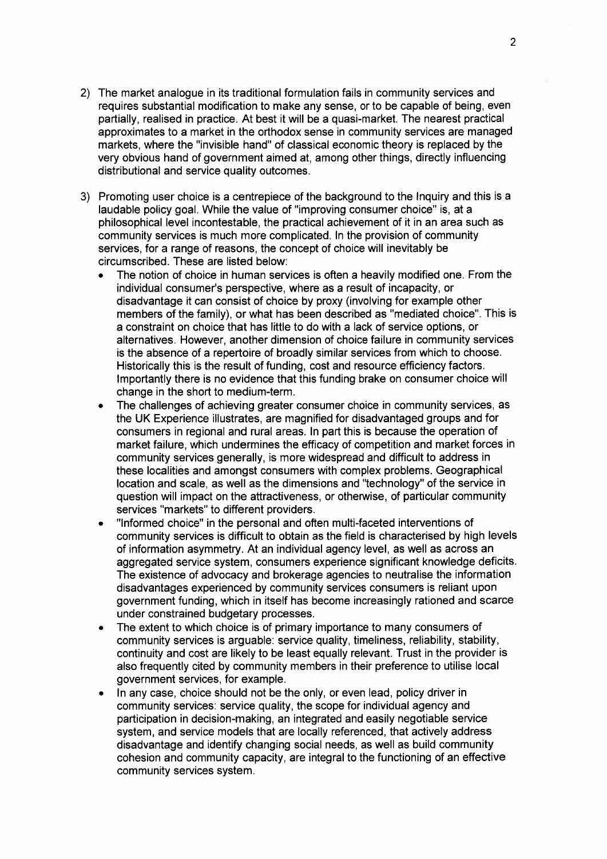- 2) The market analogue in its traditional formulation fails in community services and requires substantial modification to make any sense, or to be capable of being, even partially, realised in practice. At best it will be a quasi-market. The nearest practical approximates to a market in the orthodox sense in community services are managed markets, where the "invisible hand" of classical economic theory is replaced by the very obvious hand of government aimed at, among other things, directly influencing distributional and service quality outcomes.
- 3) Promoting user choice is a centrepiece of the background to the Inquiry and this is a laudable policy goal. While the value of "improving consumer choice" is, at a philosophical level incontestable, the practical achievement of it in an area such as community services is much more complicated. In the provision of community services, for a range of reasons, the concept of choice will inevitably be circumscribed. These are listed below:
	- The notion of choice in human services is often a heavily modified one. From the individual consumer's perspective, where as a result of incapacity, or disadvantage it can consist of choice by proxy (involving for example other members of the family), or what has been described as "mediated choice". This is a constraint on choice that has little to do with a lack of service options, or alternatives. However, another dimension of choice failure in community services is the absence of a repertoire of broadly similar services from which to choose. Historically this is the result of funding, cost and resource efficiency factors. Importantly there is no evidence that this funding brake on consumer choice will change in the short to medium-term.
	- The challenges of achieving greater consumer choice in community services, as the UK Experience illustrates, are magnified for disadvantaged groups and for consumers in regional and rural areas. In part this is because the operation of market failure, which undermines the efficacy of competition and market forces in community services generally, is more widespread and difficult to address in these localities and amongst consumers with complex problems. Geographical location and scale, as well as the dimensions and "technology" of the service in question will impact on the attractiveness, or otherwise, of particular community services "markets" to different providers.
	- "Informed choice" in the personal and often multi-faceted interventions of community services is difficult to obtain as the field is characterised by high levels of information asymmetry. At an individual agency level, as well as across an aggregated service system, consumers experience significant knowledge deficits. The existence of advocacy and brokerage agencies to neutralise the information disadvantages experienced by community services consumers is reliant upon government funding, which in itself has become increasingly rationed and scarce under constrained budgetary processes.
	- The extent to which choice is of primary importance to many consumers of community services is arguable: service quality, timeliness, reliability, stability, continuity and cost are likely to be least equally relevant. Trust in the provider is also frequently cited by community members in their preference to utilise local government services, for example.
	- In any case, choice should not be the only, or even lead, policy driver in community services: service quality, the scope for individual agency and participation in decision-making, an integrated and easily negotiable service system, and service models that are locally referenced, that actively address disadvantage and identify changing social needs, as well as build community cohesion and community capacity, are integral to the functioning of an effective community services system.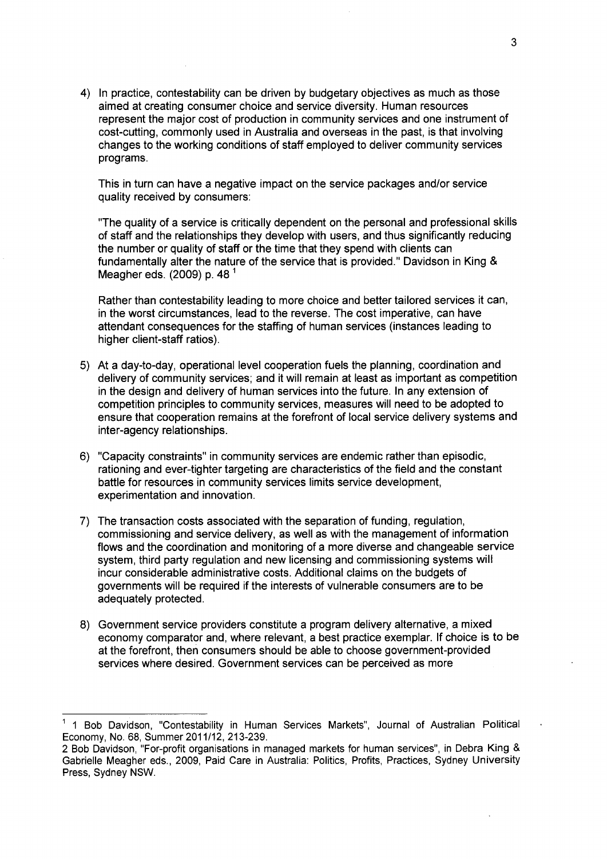4) In practice, contestability can be driven by budgetary objectives as much as those aimed at creating consumer choice and service diversity. Human resources represent the major cost of production in community services and one instrument of cost-cutting, commonly used in Australia and overseas in the past, is that involving changes to the working conditions of staff employed to deliver community services programs.

This in turn can have a negative impact on the service packages and/or service quality received by consumers:

"The quality of a service is critically dependent on the personal and professional skills of staff and the relationships they develop with users, and thus significantly reducing the number or quality of staff or the time that they spend with clients can fundamentally alter the nature of the service that is provided." Davidson in King & Meagher eds. (2009) p. 48 <sup>1</sup>

Rather than contestability leading to more choice and better tailored services it can, in the worst circumstances, lead to the reverse. The cost imperative, can have attendant consequences for the staffing of human services (instances leading to higher client-staff ratios).

- 5) At a day-to-day, operational level cooperation fuels the planning, coordination and delivery of community services; and it will remain at least as important as competition in the design and delivery of human services into the future. In any extension of competition principles to community services, measures will need to be adopted to ensure that cooperation remains at the forefront of local service delivery systems and inter-agency relationships.
- 6) "Capacity constraints" in community services are endemic rather than episodic, rationing and ever-tighter targeting are characteristics of the field and the constant battle for resources in community services limits service development, experimentation and innovation.
- 7) The transaction costs associated with the separation of funding, regulation, commissioning and service delivery, as well as with the management of information flows and the coordination and monitoring of a more diverse and changeable service system, third party regulation and new licensing and commissioning systems will incur considerable administrative costs. Additional claims on the budgets of governments will be required if the interests of vulnerable consumers are to be adequately protected.
- 8) Government service providers constitute a program delivery alternative, a mixed economy comparator and, where relevant, a best practice exemplar. If choice is to be at the forefront, then consumers should be able to choose government-provided services where desired. Government services can be perceived as more

<sup>&</sup>lt;sup>1</sup> 1 Bob Davidson, "Contestability in Human Services Markets", Journal of Australian Political Economy, No. 68, Summer 2011/12, 213-239.

<sup>2</sup> Bob Davidson, "For-profit organisations in managed markets for human services", in Debra King & Gabrielle Meagher eds., 2009, Paid Care in Australia: Politics, Profits, Practices, Sydney University Press, Sydney NSW.